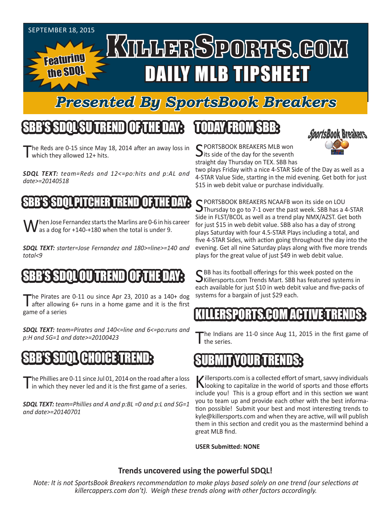#### SEPTEMBER 18, 2015 KILLERSPORTS.GOM Featuring DAILY MLB TIPSHEET the SDQL

### *Presented By SportsBook Breakers*

## SBB'S SDQLSU TREND OF THE DAY:

The Reds are 0-15 since May 18, 2014 after an away loss in which they allowed 12+ hits.

*SDQL TEXT: team=Reds and 12<=po:hits and p:AL and date>=20140518*

#### PITCHER T

I hen Jose Fernandez starts the Marlins are 0-6 in his career **V** as a dog for +140-+180 when the total is under 9.

*SDQL TEXT: starter=Jose Fernandez and 180>=line>=140 and total<9*

### SBB'S SDQLOU TREND OF THE DAY:

The Pirates are 0-11 ou since Apr 23, 2010 as a 140+ dog<br>after allowing 6+ runs in a home game and it is the first game of a series

*SDQL TEXT: team=Pirates and 140<=line and 6<=po:runs and p:H and SG=1 and date>=20100423*

### SBB'S SDQL CHOICE TREND:

The Phillies are 0-11 since Jul 01, 2014 on the road after a loss<br>in which they never led and it is the first game of a series.

*SDQL TEXT: team=Phillies and A and p:BL =0 and p:L and SG=1 and date>=20140701*

# TODAY FROM SBB:



C PORTSBOOK BREAKERS MLB won **J** its side of the day for the seventh straight day Thursday on TEX. SBB has

two plays Friday with a nice 4-STAR Side of the Day as well as a 4-STAR Value Side, starting in the mid evening. Get both for just \$15 in web debit value or purchase individually.

C PORTSBOOK BREAKERS NCAAFB won its side on LOU Thursday to go to 7-1 over the past week. SBB has a 4-STAR Side in FLST/BCOL as well as a trend play NMX/AZST. Get both for just \$15 in web debit value. SBB also has a day of strong plays Saturday with four 4.5-STAR Plays including a total, and five 4-STAR Sides, with action going throughout the day into the evening. Get all nine Saturday plays along with five more trends plays for the great value of just \$49 in web debit value.

SBB has its football offerings for this week posted on the Killersports.com Trends Mart. SBB has featured systems in each available for just \$10 in web debit value and five-packs of systems for a bargain of just \$29 each.

#### KILLERSPORTS.COM ACTIVE TRENDS:

he Indians are 11-0 since Aug 11, 2015 in the first game of the series.

#### MIT IN ZOUR T

Killersports.com is a collected effort of smart, savvy individuals<br>Nooking to capitalize in the world of sports and those efforts include you! This is a group effort and in this section we want you to team up and provide each other with the best information possible! Submit your best and most interesting trends to kyle@killersports.com and when they are active, will will publish them in this section and credit you as the mastermind behind a great MLB find.

**USER Submitted: NONE**

#### **Trends uncovered using the powerful SDQL!**

*Note: It is not SportsBook Breakers recommendation to make plays based solely on one trend (our selections at killercappers.com don't). Weigh these trends along with other factors accordingly.*